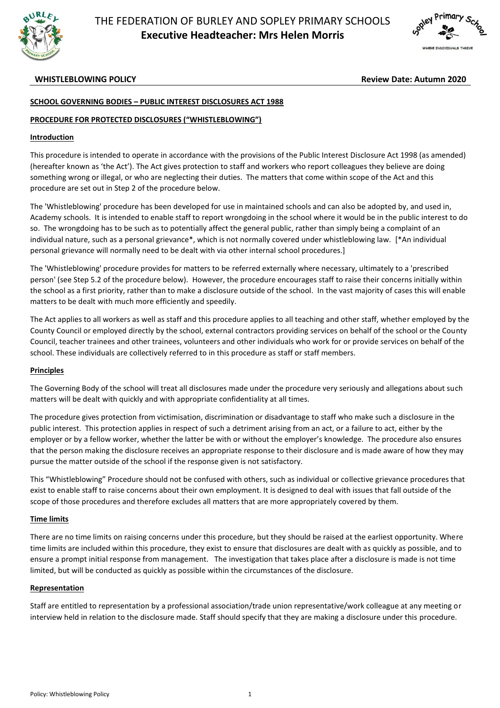



**WHISTLEBLOWING POLICY Review Date: Autumn 2020**

# **SCHOOL GOVERNING BODIES – PUBLIC INTEREST DISCLOSURES ACT 1988**

## **PROCEDURE FOR PROTECTED DISCLOSURES ("WHISTLEBLOWING")**

## **Introduction**

This procedure is intended to operate in accordance with the provisions of the Public Interest Disclosure Act 1998 (as amended) (hereafter known as 'the Act'). The Act gives protection to staff and workers who report colleagues they believe are doing something wrong or illegal, or who are neglecting their duties. The matters that come within scope of the Act and this procedure are set out in Step 2 of the procedure below.

The 'Whistleblowing' procedure has been developed for use in maintained schools and can also be adopted by, and used in, Academy schools. It is intended to enable staff to report wrongdoing in the school where it would be in the public interest to do so. The wrongdoing has to be such as to potentially affect the general public, rather than simply being a complaint of an individual nature, such as a personal grievance\*, which is not normally covered under whistleblowing law. [\*An individual personal grievance will normally need to be dealt with via other internal school procedures.]

The 'Whistleblowing' procedure provides for matters to be referred externally where necessary, ultimately to a 'prescribed person' (see Step 5.2 of the procedure below). However, the procedure encourages staff to raise their concerns initially within the school as a first priority, rather than to make a disclosure outside of the school. In the vast majority of cases this will enable matters to be dealt with much more efficiently and speedily.

The Act applies to all workers as well as staff and this procedure applies to all teaching and other staff, whether employed by the County Council or employed directly by the school, external contractors providing services on behalf of the school or the County Council, teacher trainees and other trainees, volunteers and other individuals who work for or provide services on behalf of the school. These individuals are collectively referred to in this procedure as staff or staff members.

## **Principles**

The Governing Body of the school will treat all disclosures made under the procedure very seriously and allegations about such matters will be dealt with quickly and with appropriate confidentiality at all times.

The procedure gives protection from victimisation, discrimination or disadvantage to staff who make such a disclosure in the public interest. This protection applies in respect of such a detriment arising from an act, or a failure to act, either by the employer or by a fellow worker, whether the latter be with or without the employer's knowledge. The procedure also ensures that the person making the disclosure receives an appropriate response to their disclosure and is made aware of how they may pursue the matter outside of the school if the response given is not satisfactory.

This "Whistleblowing" Procedure should not be confused with others, such as individual or collective grievance procedures that exist to enable staff to raise concerns about their own employment. It is designed to deal with issues that fall outside of the scope of those procedures and therefore excludes all matters that are more appropriately covered by them.

## **Time limits**

There are no time limits on raising concerns under this procedure, but they should be raised at the earliest opportunity. Where time limits are included within this procedure, they exist to ensure that disclosures are dealt with as quickly as possible, and to ensure a prompt initial response from management. The investigation that takes place after a disclosure is made is not time limited, but will be conducted as quickly as possible within the circumstances of the disclosure.

## **Representation**

Staff are entitled to representation by a professional association/trade union representative/work colleague at any meeting or interview held in relation to the disclosure made. Staff should specify that they are making a disclosure under this procedure.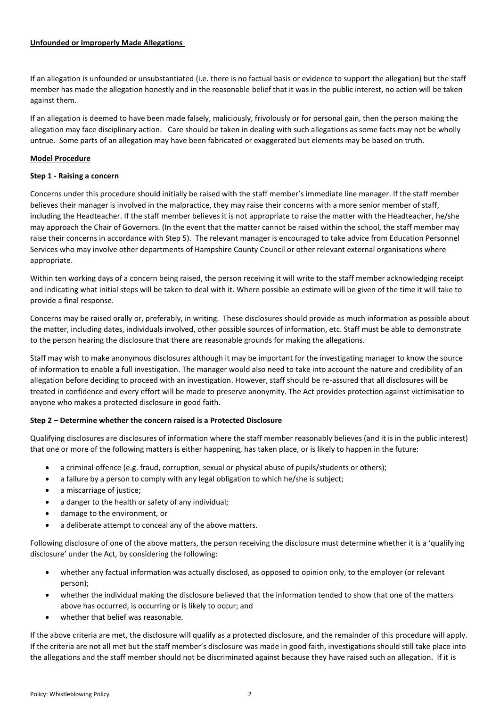## **Unfounded or Improperly Made Allegations**

If an allegation is unfounded or unsubstantiated (i.e. there is no factual basis or evidence to support the allegation) but the staff member has made the allegation honestly and in the reasonable belief that it was in the public interest, no action will be taken against them.

If an allegation is deemed to have been made falsely, maliciously, frivolously or for personal gain, then the person making the allegation may face disciplinary action. Care should be taken in dealing with such allegations as some facts may not be wholly untrue. Some parts of an allegation may have been fabricated or exaggerated but elements may be based on truth.

# **Model Procedure**

## **Step 1 - Raising a concern**

Concerns under this procedure should initially be raised with the staff member's immediate line manager. If the staff member believes their manager is involved in the malpractice, they may raise their concerns with a more senior member of staff, including the Headteacher. If the staff member believes it is not appropriate to raise the matter with the Headteacher, he/she may approach the Chair of Governors. (In the event that the matter cannot be raised within the school, the staff member may raise their concerns in accordance with Step 5). The relevant manager is encouraged to take advice from Education Personnel Services who may involve other departments of Hampshire County Council or other relevant external organisations where appropriate.

Within ten working days of a concern being raised, the person receiving it will write to the staff member acknowledging receipt and indicating what initial steps will be taken to deal with it. Where possible an estimate will be given of the time it will take to provide a final response.

Concerns may be raised orally or, preferably, in writing. These disclosures should provide as much information as possible about the matter, including dates, individuals involved, other possible sources of information, etc. Staff must be able to demonstrate to the person hearing the disclosure that there are reasonable grounds for making the allegations.

Staff may wish to make anonymous disclosures although it may be important for the investigating manager to know the source of information to enable a full investigation. The manager would also need to take into account the nature and credibility of an allegation before deciding to proceed with an investigation. However, staff should be re-assured that all disclosures will be treated in confidence and every effort will be made to preserve anonymity. The Act provides protection against victimisation to anyone who makes a protected disclosure in good faith.

# **Step 2 – Determine whether the concern raised is a Protected Disclosure**

Qualifying disclosures are disclosures of information where the staff member reasonably believes (and it is in the public interest) that one or more of the following matters is either happening, has taken place, or is likely to happen in the future:

- a criminal offence (e.g. fraud, corruption, sexual or physical abuse of pupils/students or others);
- a failure by a person to comply with any legal obligation to which he/she is subject;
- a miscarriage of justice;
- a danger to the health or safety of any individual;
- damage to the environment, or
- a deliberate attempt to conceal any of the above matters.

Following disclosure of one of the above matters, the person receiving the disclosure must determine whether it is a 'qualifying disclosure' under the Act, by considering the following:

- whether any factual information was actually disclosed, as opposed to opinion only, to the employer (or relevant person);
- whether the individual making the disclosure believed that the information tended to show that one of the matters above has occurred, is occurring or is likely to occur; and
- whether that belief was reasonable.

If the above criteria are met, the disclosure will qualify as a protected disclosure, and the remainder of this procedure will apply. If the criteria are not all met but the staff member's disclosure was made in good faith, investigations should still take place into the allegations and the staff member should not be discriminated against because they have raised such an allegation. If it is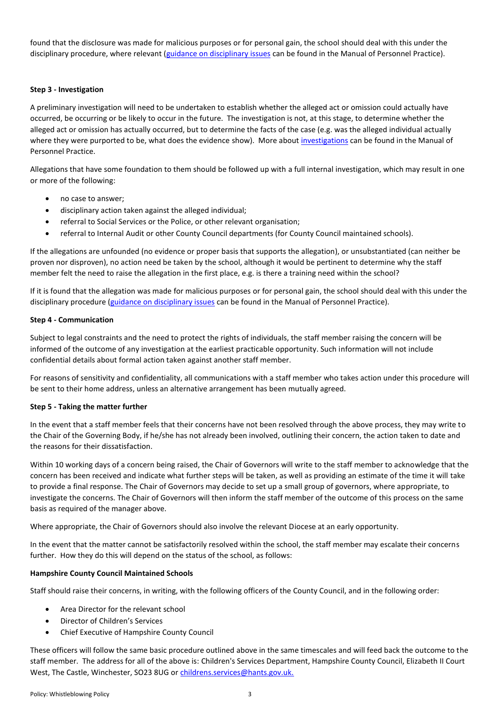found that the disclosure was made for malicious purposes or for personal gain, the school should deal with this under the disciplinary procedure, where relevant [\(guidance on disciplinary issues](http://hantsweb-staging.hants.gov.uk/education/mopp/manage-staff/eps-discipline.htm) can be found in the Manual of Personnel Practice).

## **Step 3 - Investigation**

A preliminary investigation will need to be undertaken to establish whether the alleged act or omission could actually have occurred, be occurring or be likely to occur in the future. The investigation is not, at this stage, to determine whether the alleged act or omission has actually occurred, but to determine the facts of the case (e.g. was the alleged individual actually where they were purported to be, what does the evidence show). More abou[t investigations](http://hantsweb-staging.hants.gov.uk/education/mopp/manage-staff/eps-discipline.htm) can be found in the Manual of Personnel Practice.

Allegations that have some foundation to them should be followed up with a full internal investigation, which may result in one or more of the following:

- no case to answer;
- disciplinary action taken against the alleged individual;
- referral to Social Services or the Police, or other relevant organisation;
- referral to Internal Audit or other County Council departments (for County Council maintained schools).

If the allegations are unfounded (no evidence or proper basis that supports the allegation), or unsubstantiated (can neither be proven nor disproven), no action need be taken by the school, although it would be pertinent to determine why the staff member felt the need to raise the allegation in the first place, e.g. is there a training need within the school?

If it is found that the allegation was made for malicious purposes or for personal gain, the school should deal with this under the disciplinary procedure [\(guidance on disciplinary issues](http://hantsweb-staging.hants.gov.uk/education/mopp/manage-staff/eps-discipline.htm) can be found in the Manual of Personnel Practice).

#### **Step 4 - Communication**

Subject to legal constraints and the need to protect the rights of individuals, the staff member raising the concern will be informed of the outcome of any investigation at the earliest practicable opportunity. Such information will not include confidential details about formal action taken against another staff member.

For reasons of sensitivity and confidentiality, all communications with a staff member who takes action under this procedure will be sent to their home address, unless an alternative arrangement has been mutually agreed.

## **Step 5 - Taking the matter further**

In the event that a staff member feels that their concerns have not been resolved through the above process, they may write to the Chair of the Governing Body, if he/she has not already been involved, outlining their concern, the action taken to date and the reasons for their dissatisfaction.

Within 10 working days of a concern being raised, the Chair of Governors will write to the staff member to acknowledge that the concern has been received and indicate what further steps will be taken, as well as providing an estimate of the time it will take to provide a final response. The Chair of Governors may decide to set up a small group of governors, where appropriate, to investigate the concerns. The Chair of Governors will then inform the staff member of the outcome of this process on the same basis as required of the manager above.

Where appropriate, the Chair of Governors should also involve the relevant Diocese at an early opportunity.

In the event that the matter cannot be satisfactorily resolved within the school, the staff member may escalate their concerns further. How they do this will depend on the status of the school, as follows:

## **Hampshire County Council Maintained Schools**

Staff should raise their concerns, in writing, with the following officers of the County Council, and in the following order:

- Area Director for the relevant school
- Director of Children's Services
- Chief Executive of Hampshire County Council

These officers will follow the same basic procedure outlined above in the same timescales and will feed back the outcome to the staff member. The address for all of the above is: Children's Services Department, Hampshire County Council, Elizabeth II Court West, The Castle, Winchester, SO23 8UG o[r childrens.services@hants.gov.uk.](mailto:childrens.services@hants.gov.uk)